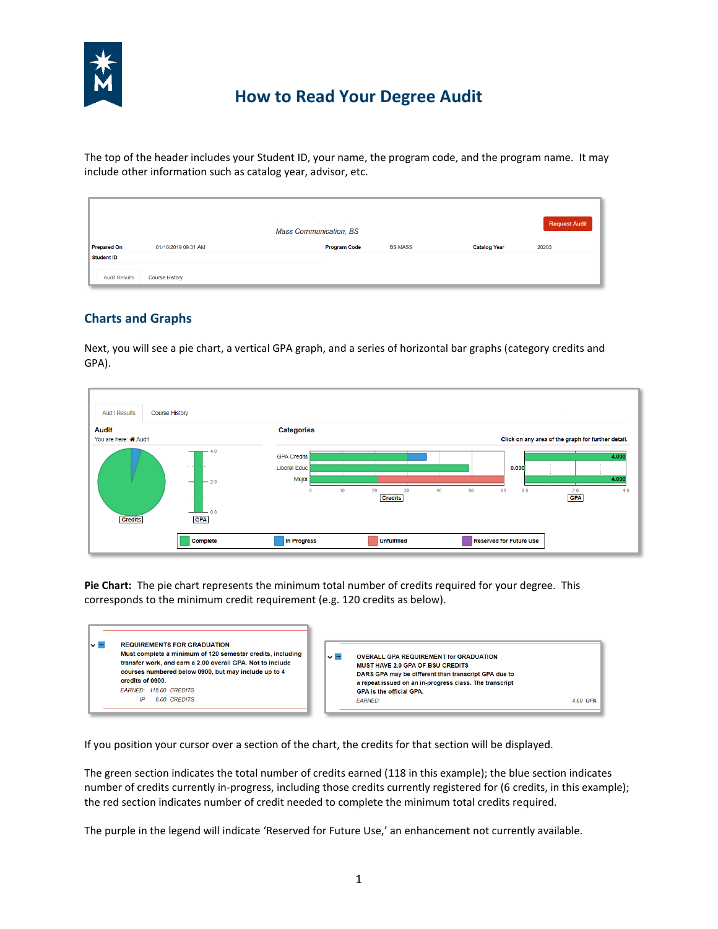

# **How to Read Your Degree Audit**

The top of the header includes your Student ID, your name, the program code, and the program name. It may include other information such as catalog year, advisor, etc.

|                      | Request Audit<br><b>STATE</b><br><b>Mass Communication, BS</b> |                     |                |                     |       |  |
|----------------------|----------------------------------------------------------------|---------------------|----------------|---------------------|-------|--|
| <b>Prepared On</b>   | 01/10/2019 09:31 AM                                            | <b>Program Code</b> | <b>BS MASS</b> | <b>Catalog Year</b> | 20203 |  |
| <b>Student ID</b>    |                                                                |                     |                |                     |       |  |
| <b>Audit Results</b> | <b>Course History</b>                                          |                     |                |                     |       |  |

### **Charts and Graphs**

Next, you will see a pie chart, a vertical GPA graph, and a series of horizontal bar graphs (category credits and GPA).



**Pie Chart:** The pie chart represents the minimum total number of credits required for your degree. This corresponds to the minimum credit requirement (e.g. 120 credits as below).

| v ™ | <b>REQUIREMENTS FOR GRADUATION</b><br>Must complete a minimum of 120 semester credits, including<br>transfer work, and earn a 2.00 overall GPA. Not to include<br>courses numbered below 0900, but may include up to 4<br>credits of 0900.<br><b>FARNED: 118.00 CREDITS</b> | $\sim$ $-$ | <b>OVERALL GPA REQUIREMENT for GRADUATION</b><br><b>MUST HAVE 2.0 GPA OF BSU CREDITS</b><br>DARS GPA may be different than transcript GPA due to<br>a repeat issued on an in-progress class. The transcript<br><b>GPA is the official GPA.</b> |          |
|-----|-----------------------------------------------------------------------------------------------------------------------------------------------------------------------------------------------------------------------------------------------------------------------------|------------|------------------------------------------------------------------------------------------------------------------------------------------------------------------------------------------------------------------------------------------------|----------|
|     | 6.00 CREDITS<br>ID                                                                                                                                                                                                                                                          |            | <b>EARNED:</b>                                                                                                                                                                                                                                 | 4.00 GPA |

If you position your cursor over a section of the chart, the credits for that section will be displayed.

The green section indicates the total number of credits earned (118 in this example); the blue section indicates number of credits currently in-progress, including those credits currently registered for (6 credits, in this example); the red section indicates number of credit needed to complete the minimum total credits required.

The purple in the legend will indicate 'Reserved for Future Use,' an enhancement not currently available.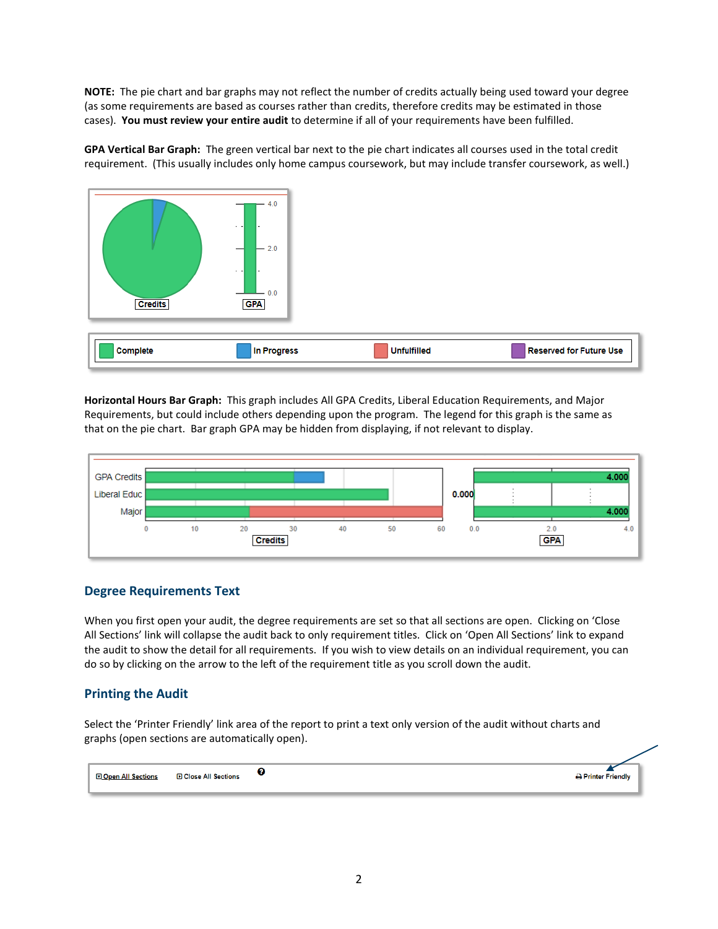**NOTE:** The pie chart and bar graphs may not reflect the number of credits actually being used toward your degree (as some requirements are based as courses rather than credits, therefore credits may be estimated in those cases). **You must review your entire audit** to determine if all of your requirements have been fulfilled.

**GPA Vertical Bar Graph:** The green vertical bar next to the pie chart indicates all courses used in the total credit requirement. (This usually includes only home campus coursework, but may include transfer coursework, as well.)



**Horizontal Hours Bar Graph:** This graph includes All GPA Credits, Liberal Education Requirements, and Major Requirements, but could include others depending upon the program. The legend for this graph is the same as that on the pie chart. Bar graph GPA may be hidden from displaying, if not relevant to display.



#### **Degree Requirements Text**

When you first open your audit, the degree requirements are set so that all sections are open. Clicking on 'Close All Sections' link will collapse the audit back to only requirement titles. Click on 'Open All Sections' link to expand the audit to show the detail for all requirements. If you wish to view details on an individual requirement, you can do so by clicking on the arrow to the left of the requirement title as you scroll down the audit.

#### **Printing the Audit**

Select the 'Printer Friendly' link area of the report to print a text only version of the audit without charts and graphs (open sections are automatically open).

๏ **DOpen All Sections D** Close All Sections Printer Friendly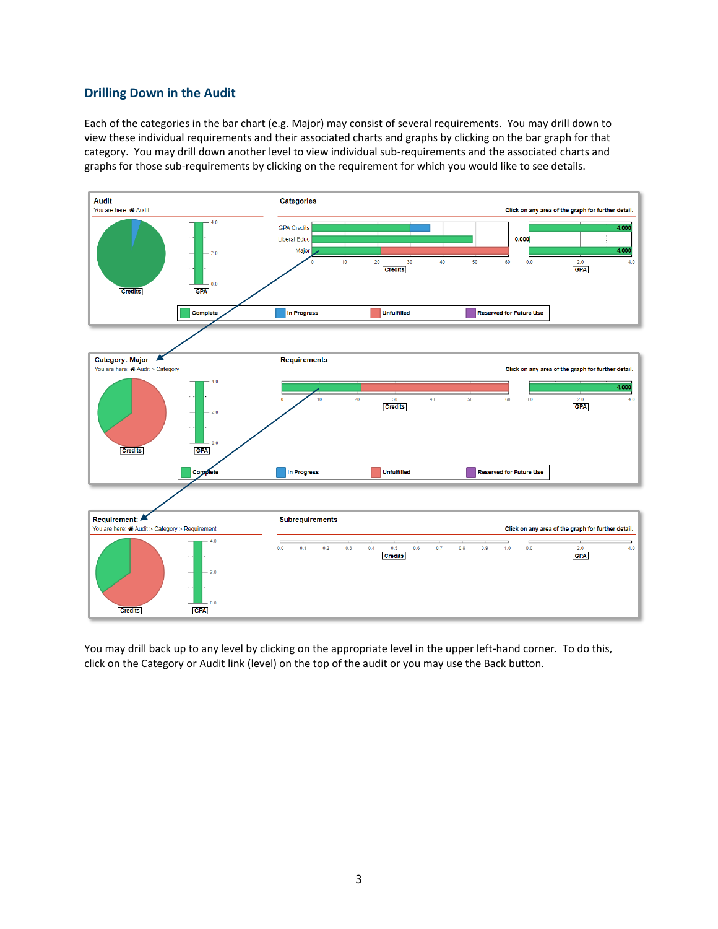#### **Drilling Down in the Audit**

Each of the categories in the bar chart (e.g. Major) may consist of several requirements. You may drill down to view these individual requirements and their associated charts and graphs by clicking on the bar graph for that category. You may drill down another level to view individual sub-requirements and the associated charts and graphs for those sub-requirements by clicking on the requirement for which you would like to see details.



You may drill back up to any level by clicking on the appropriate level in the upper left-hand corner. To do this, click on the Category or Audit link (level) on the top of the audit or you may use the Back button.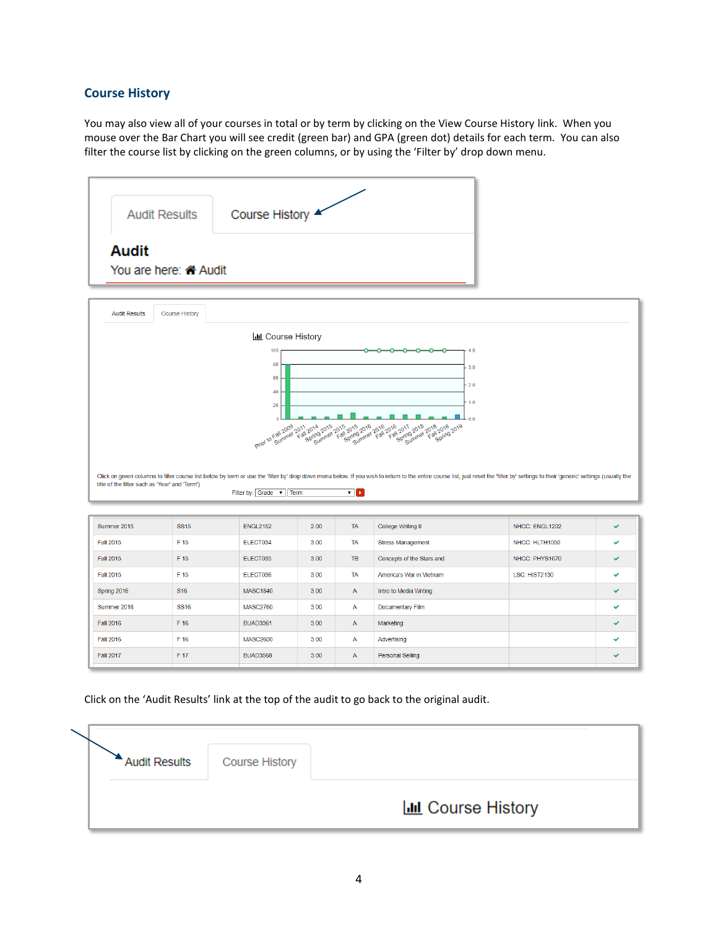## **Course History**

You may also view all of your courses in total or by term by clicking on the View Course History link. When you mouse over the Bar Chart you will see credit (green bar) and GPA (green dot) details for each term. You can also filter the course list by clicking on the green columns, or by using the 'Filter by' drop down menu.

|                                                                    | <b>Audit Results</b>  | Course History            |      |              |                                                                                                                                                                                                                                |                |              |
|--------------------------------------------------------------------|-----------------------|---------------------------|------|--------------|--------------------------------------------------------------------------------------------------------------------------------------------------------------------------------------------------------------------------------|----------------|--------------|
| <b>Audit</b><br>You are here: « Audit                              |                       |                           |      |              |                                                                                                                                                                                                                                |                |              |
| <b>Audit Results</b>                                               | <b>Course History</b> |                           |      |              |                                                                                                                                                                                                                                |                |              |
|                                                                    |                       | <b>III</b> Course History |      |              |                                                                                                                                                                                                                                |                |              |
|                                                                    |                       | 100                       |      |              | 4.0<br>o<br>o                                                                                                                                                                                                                  |                |              |
|                                                                    |                       | 80                        |      |              | 3.0                                                                                                                                                                                                                            |                |              |
|                                                                    |                       | 60                        |      |              | 2.0                                                                                                                                                                                                                            |                |              |
| 40<br>1.0                                                          |                       |                           |      |              |                                                                                                                                                                                                                                |                |              |
|                                                                    |                       |                           |      |              |                                                                                                                                                                                                                                |                |              |
|                                                                    |                       | 20<br>$\theta$            |      |              | 0.0                                                                                                                                                                                                                            |                |              |
|                                                                    |                       |                           |      |              |                                                                                                                                                                                                                                |                |              |
|                                                                    |                       |                           |      |              |                                                                                                                                                                                                                                |                |              |
|                                                                    |                       |                           |      |              |                                                                                                                                                                                                                                |                |              |
| title of the filter such as 'Year' and 'Term')                     |                       |                           |      |              | Click on green columns to filter course list below by term or use the 'filter by' drop down menu below. If you wish to return to the entire course list, just reset the 'filter by' settings to their 'generic' settings (usua |                |              |
|                                                                    |                       | Filter by: Grade v Term   |      | ▼⊩▶          |                                                                                                                                                                                                                                |                |              |
| Summer 2015                                                        | <b>SS15</b>           | <b>ENGL2152</b>           | 2.00 | <b>TA</b>    | College Writing II                                                                                                                                                                                                             | NHCC: ENGL1202 | ✔            |
| <b>Fall 2015</b>                                                   | F 15                  | ELECT034                  | 3.00 | <b>TA</b>    | <b>Stress Management</b>                                                                                                                                                                                                       | NHCC: HLTH1050 | ✓            |
| <b>Fall 2015</b>                                                   | F 15                  | ELECT035                  | 3.00 | TB           | Concepts of the Stars and                                                                                                                                                                                                      | NHCC: PHYS1070 | U            |
|                                                                    | F 15                  | ELECT036                  | 3.00 | <b>TA</b>    | America's War in Vietnam                                                                                                                                                                                                       | LSC: HIST2130  | $\checkmark$ |
|                                                                    | <b>S16</b>            | <b>MASC1840</b>           | 3.00 | $\mathsf{A}$ | Intro to Media Writing                                                                                                                                                                                                         |                | V            |
|                                                                    | <b>SS16</b>           | <b>MASC2760</b>           | 3.00 | A            | Documentary Film                                                                                                                                                                                                               |                | ú            |
| <b>Fall 2015</b><br>Spring 2016<br>Summer 2016<br><b>Fall 2016</b> | F 16                  | <b>BUAD3361</b>           | 3.00 | $\mathsf A$  | Marketing                                                                                                                                                                                                                      |                |              |
| <b>Fall 2016</b>                                                   | F 16                  | <b>MASC2600</b>           | 3.00 | A            | Advertising                                                                                                                                                                                                                    |                | ں            |

Click on the 'Audit Results' link at the top of the audit to go back to the original audit.

| <b>Audit Results</b> | <b>Course History</b> |                           |
|----------------------|-----------------------|---------------------------|
|                      |                       |                           |
|                      |                       | <b>ILL</b> Course History |